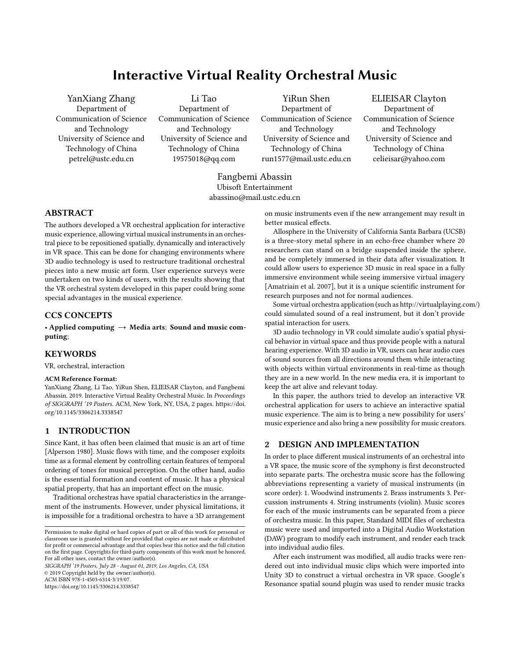# Interactive Virtual Reality Orchestral Music

YanXiang Zhang Department of Communication of Science and Technology University of Science and Technology of China petrel@ustc.edu.cn

Li Tao Department of Communication of Science and Technology University of Science and Technology of China 19575018@qq.com

YiRun Shen Department of Communication of Science and Technology University of Science and Technology of China run1577@mail.ustc.edu.cn

ELIEISAR Clayton Department of Communication of Science and Technology University of Science and Technology of China celieisar@yahoo.com

Fangbemi Abassin Ubisoft Entertainment abassino@mail.ustc.edu.cn

#### ABSTRACT

The authors developed a VR orchestral application for interactive music experience, allowing virtual musical instruments in an orchestral piece to be repositioned spatially, dynamically and interactively in VR space. This can be done for changing environments where 3D audio technology is used to restructure traditional orchestral pieces into a new music art form. User experience surveys were undertaken on two kinds of users, with the results showing that the VR orchestral system developed in this paper could bring some special advantages in the musical experience.

# CCS CONCEPTS

• Applied computing  $\rightarrow$  Media arts; Sound and music computing;

## **KEYWORDS**

VR, orchestral, interaction

#### ACM Reference Format:

YanXiang Zhang, Li Tao, YiRun Shen, ELIEISAR Clayton, and Fangbemi Abassin. 2019. Interactive Virtual Reality Orchestral Music. In Proceedings of SIGGRAPH '19 Posters. ACM, New York, NY, USA, [2](#page-1-0) pages. [https://doi.](https://doi.org/10.1145/3306214.3338547) [org/10.1145/3306214.3338547](https://doi.org/10.1145/3306214.3338547)

# 1 INTRODUCTION

Since Kant, it has often been claimed that music is an art of time [\[Alperson 1980\]](#page-1-1). Music flows with time, and the composer exploits time as a formal element by controlling certain features of temporal ordering of tones for musical perception. On the other hand, audio is the essential formation and content of music. It has a physical spatial property, that has an important effect on the music.

Traditional orchestras have spatial characteristics in the arrangement of the instruments. However, under physical limitations, it is impossible for a traditional orchestra to have a 3D arrangement

SIGGRAPH '19 Posters, July 28 - August 01, 2019, Los Angeles, CA, USA

© 2019 Copyright held by the owner/author(s).

ACM ISBN 978-1-4503-6314-3/19/07.

<https://doi.org/10.1145/3306214.3338547>

on music instruments even if the new arrangement may result in better musical effects.

Allosphere in the University of California Santa Barbara (UCSB) is a three-story metal sphere in an echo-free chamber where 20 researchers can stand on a bridge suspended inside the sphere, and be completely immersed in their data after visualization. It could allow users to experience 3D music in real space in a fully immersive environment while seeing immersive virtual imagery [\[Amatriain et al.](#page-1-2) [2007\]](#page-1-2), but it is a unique scientific instrument for research purposes and not for normal audiences.

Some virtual orchestra application (such as http://virtualplaying.com/) could simulated sound of a real instrument, but it don't provide spatial interaction for users.

3D audio technology in VR could simulate audio's spatial physical behavior in virtual space and thus provide people with a natural hearing experience. With 3D audio in VR, users can hear audio cues of sound sources from all directions around them while interacting with objects within virtual environments in real-time as though they are in a new world. In the new media era, it is important to keep the art alive and relevant today.

In this paper, the authors tried to develop an interactive VR orchestral application for users to achieve an interactive spatial music experience. The aim is to bring a new possibility for users' music experience and also bring a new possibility for music creators.

## 2 DESIGN AND IMPLEMENTATION

In order to place different musical instruments of an orchestral into a VR space, the music score of the symphony is first deconstructed into separate parts. The orchestra music score has the following abbreviations representing a variety of musical instruments (in score order): 1. Woodwind instruments 2. Brass instruments 3. Percussion instruments 4. String instruments (violin). Music scores for each of the music instruments can be separated from a piece of orchestra music. In this paper, Standard MIDI files of orchestra music were used and imported into a Digital Audio Workstation (DAW) program to modify each instrument, and render each track into individual audio files.

After each instrument was modified, all audio tracks were rendered out into individual music clips which were imported into Unity 3D to construct a virtual orchestra in VR space. Google's Resonance spatial sound plugin was used to render music tracks

Permission to make digital or hard copies of part or all of this work for personal or classroom use is granted without fee provided that copies are not made or distributed for profit or commercial advantage and that copies bear this notice and the full citation on the first page. Copyrights for third-party components of this work must be honored. For all other uses, contact the owner/author(s).